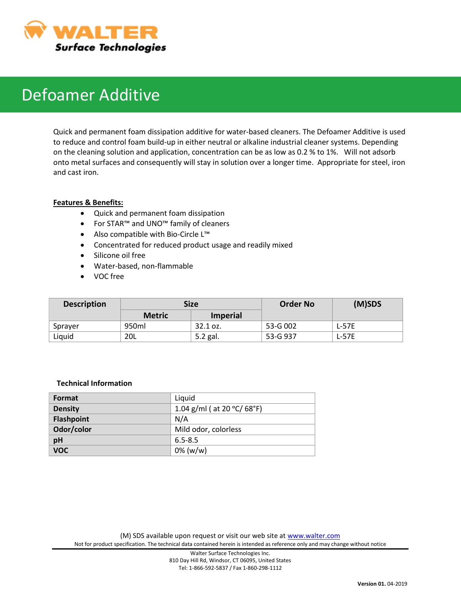

# Defoamer Additive

Quick and permanent foam dissipation additive for water-based cleaners. The Defoamer Additive is used to reduce and control foam build-up in either neutral or alkaline industrial cleaner systems. Depending on the cleaning solution and application, concentration can be as low as 0.2 % to 1%. Will not adsorb onto metal surfaces and consequently will stay in solution over a longer time. Appropriate for steel, iron and cast iron.

### **Features & Benefits:**

- Quick and permanent foam dissipation
- For STAR™ and UNO™ family of cleaners
- Also compatible with Bio-Circle L™
- Concentrated for reduced product usage and readily mixed
- Silicone oil free
- Water-based, non-flammable
- VOC free

| <b>Description</b> | Size          |                 | <b>Order No</b> | (M)SDS  |
|--------------------|---------------|-----------------|-----------------|---------|
|                    | <b>Metric</b> | <b>Imperial</b> |                 |         |
| Sprayer            | 950ml         | 32.1 oz.        | 53-G 002        | $L-57E$ |
| Liquid             | 20L           | 5.2 gal.        | 53-G 937        | $L-57E$ |

#### **Technical Information**

| Format            | Liquid                                           |
|-------------------|--------------------------------------------------|
| <b>Density</b>    | 1.04 g/ml ( at 20 $^{\circ}$ C/ 68 $^{\circ}$ F) |
| <b>Flashpoint</b> | N/A                                              |
| Odor/color        | Mild odor, colorless                             |
| pH                | $6.5 - 8.5$                                      |
| <b>VOC</b>        | $0\%$ (w/w)                                      |

(M) SDS available upon request or visit our web site at [www.walter.com](http://www.walter.com/) Not for product specification. The technical data contained herein is intended as reference only and may change without notice